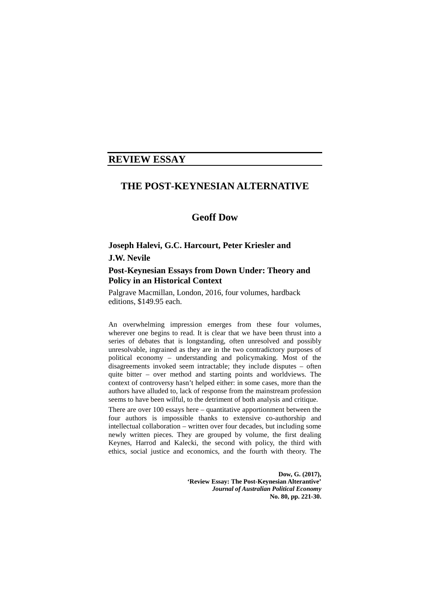## **REVIEW ESSAY**

## **THE POST-KEYNESIAN ALTERNATIVE**

## **Geoff Dow**

## **Joseph Halevi, G.C. Harcourt, Peter Kriesler and J.W. Nevile**

## **Post-Keynesian Essays from Down Under: Theory and Policy in an Historical Context**

Palgrave Macmillan, London, 2016, four volumes, hardback editions, \$149.95 each.

An overwhelming impression emerges from these four volumes, wherever one begins to read. It is clear that we have been thrust into a series of debates that is longstanding, often unresolved and possibly unresolvable, ingrained as they are in the two contradictory purposes of political economy – understanding and policymaking. Most of the disagreements invoked seem intractable; they include disputes – often quite bitter – over method and starting points and worldviews. The context of controversy hasn't helped either: in some cases, more than the authors have alluded to, lack of response from the mainstream profession seems to have been wilful, to the detriment of both analysis and critique.

There are over 100 essays here – quantitative apportionment between the four authors is impossible thanks to extensive co-authorship and intellectual collaboration – written over four decades, but including some newly written pieces. They are grouped by volume, the first dealing Keynes, Harrod and Kalecki, the second with policy, the third with ethics, social justice and economics, and the fourth with theory. The

> **Dow, G. (2017), 'Review Essay: The Post-Keynesian Alterantive'**  *Journal of Australian Political Economy* **No. 80, pp. 221-30.**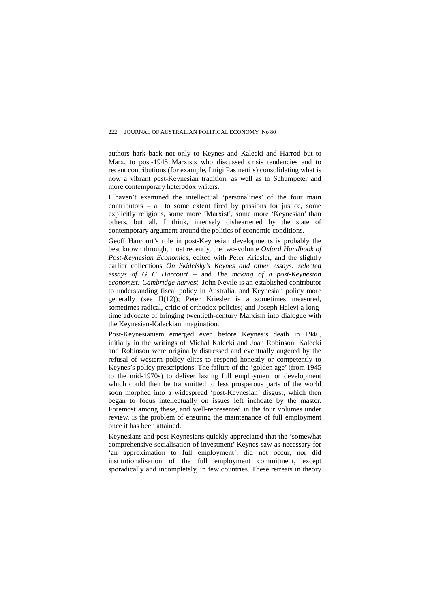authors hark back not only to Keynes and Kalecki and Harrod but to Marx, to post-1945 Marxists who discussed crisis tendencies and to recent contributions (for example, Luigi Pasinetti's) consolidating what is now a vibrant post-Keynesian tradition, as well as to Schumpeter and more contemporary heterodox writers.

I haven't examined the intellectual 'personalities' of the four main contributors – all to some extent fired by passions for justice, some explicitly religious, some more 'Marxist', some more 'Keynesian' than others, but all, I think, intensely disheartened by the state of contemporary argument around the politics of economic conditions.

Geoff Harcourt's role in post-Keynesian developments is probably the best known through, most recently, the two-volume *Oxford Handbook of Post-Keynesian Economics*, edited with Peter Kriesler, and the slightly earlier collections *On Skidelsky's Keynes and other essays: selected essays of G C Harcourt* – and *The making of a post-Keynesian economist: Cambridge harvest*. John Nevile is an established contributor to understanding fiscal policy in Australia, and Keynesian policy more generally (see II(12)); Peter Kriesler is a sometimes measured, sometimes radical, critic of orthodox policies; and Joseph Halevi a longtime advocate of bringing twentieth-century Marxism into dialogue with the Keynesian-Kaleckian imagination.

Post-Keynesianism emerged even before Keynes's death in 1946, initially in the writings of Michal Kalecki and Joan Robinson. Kalecki and Robinson were originally distressed and eventually angered by the refusal of western policy elites to respond honestly or competently to Keynes's policy prescriptions. The failure of the 'golden age' (from 1945 to the mid-1970s) to deliver lasting full employment or development which could then be transmitted to less prosperous parts of the world soon morphed into a widespread 'post-Keynesian' disgust, which then began to focus intellectually on issues left inchoate by the master. Foremost among these, and well-represented in the four volumes under review, is the problem of ensuring the maintenance of full employment once it has been attained.

Keynesians and post-Keynesians quickly appreciated that the 'somewhat comprehensive socialisation of investment' Keynes saw as necessary for 'an approximation to full employment', did not occur, nor did institutionalisation of the full employment commitment, except sporadically and incompletely, in few countries. These retreats in theory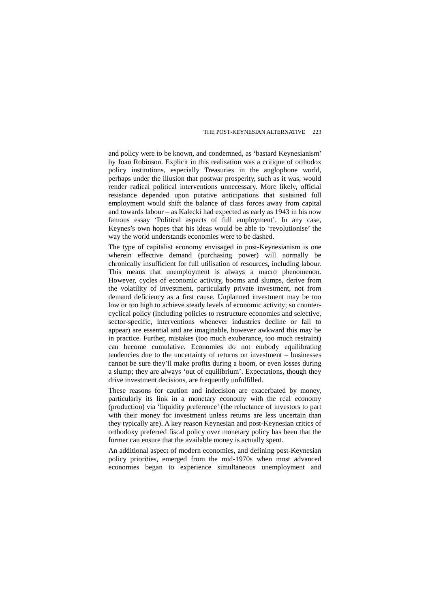and policy were to be known, and condemned, as 'bastard Keynesianism' by Joan Robinson. Explicit in this realisation was a critique of orthodox policy institutions, especially Treasuries in the anglophone world, perhaps under the illusion that postwar prosperity, such as it was, would render radical political interventions unnecessary. More likely, official resistance depended upon putative anticipations that sustained full employment would shift the balance of class forces away from capital and towards labour – as Kalecki had expected as early as 1943 in his now famous essay 'Political aspects of full employment'. In any case, Keynes's own hopes that his ideas would be able to 'revolutionise' the way the world understands economies were to be dashed.

The type of capitalist economy envisaged in post-Keynesianism is one wherein effective demand (purchasing power) will normally be chronically insufficient for full utilisation of resources, including labour. This means that unemployment is always a macro phenomenon. However, cycles of economic activity, booms and slumps, derive from the volatility of investment, particularly private investment, not from demand deficiency as a first cause. Unplanned investment may be too low or too high to achieve steady levels of economic activity; so countercyclical policy (including policies to restructure economies and selective, sector-specific, interventions whenever industries decline or fail to appear) are essential and are imaginable, however awkward this may be in practice. Further, mistakes (too much exuberance, too much restraint) can become cumulative. Economies do not embody equilibrating tendencies due to the uncertainty of returns on investment – businesses cannot be sure they'll make profits during a boom, or even losses during a slump; they are always 'out of equilibrium'. Expectations, though they drive investment decisions, are frequently unfulfilled.

These reasons for caution and indecision are exacerbated by money, particularly its link in a monetary economy with the real economy (production) via 'liquidity preference' (the reluctance of investors to part with their money for investment unless returns are less uncertain than they typically are). A key reason Keynesian and post-Keynesian critics of orthodoxy preferred fiscal policy over monetary policy has been that the former can ensure that the available money is actually spent.

An additional aspect of modern economies, and defining post-Keynesian policy priorities, emerged from the mid-1970s when most advanced economies began to experience simultaneous unemployment and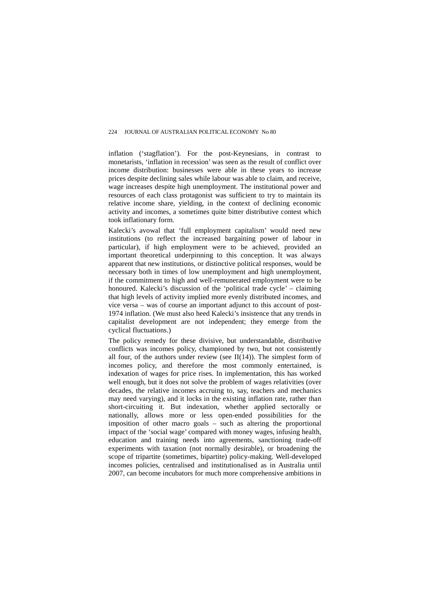inflation ('stagflation'). For the post-Keynesians, in contrast to monetarists, 'inflation in recession' was seen as the result of conflict over income distribution: businesses were able in these years to increase prices despite declining sales while labour was able to claim, and receive, wage increases despite high unemployment. The institutional power and resources of each class protagonist was sufficient to try to maintain its relative income share, yielding, in the context of declining economic activity and incomes, a sometimes quite bitter distributive contest which took inflationary form.

Kalecki's avowal that 'full employment capitalism' would need new institutions (to reflect the increased bargaining power of labour in particular), if high employment were to be achieved, provided an important theoretical underpinning to this conception. It was always apparent that new institutions, or distinctive political responses, would be necessary both in times of low unemployment and high unemployment, if the commitment to high and well-remunerated employment were to be honoured. Kalecki's discussion of the 'political trade cycle' – claiming that high levels of activity implied more evenly distributed incomes, and vice versa – was of course an important adjunct to this account of post-1974 inflation. (We must also heed Kalecki's insistence that any trends in capitalist development are not independent; they emerge from the cyclical fluctuations.)

The policy remedy for these divisive, but understandable, distributive conflicts was incomes policy, championed by two, but not consistently all four, of the authors under review (see  $II(14)$ ). The simplest form of incomes policy, and therefore the most commonly entertained, is indexation of wages for price rises. In implementation, this has worked well enough, but it does not solve the problem of wages relativities (over decades, the relative incomes accruing to, say, teachers and mechanics may need varying), and it locks in the existing inflation rate, rather than short-circuiting it. But indexation, whether applied sectorally or nationally, allows more or less open-ended possibilities for the imposition of other macro goals – such as altering the proportional impact of the 'social wage' compared with money wages, infusing health, education and training needs into agreements, sanctioning trade-off experiments with taxation (not normally desirable), or broadening the scope of tripartite (sometimes, bipartite) policy-making. Well-developed incomes policies, centralised and institutionalised as in Australia until 2007, can become incubators for much more comprehensive ambitions in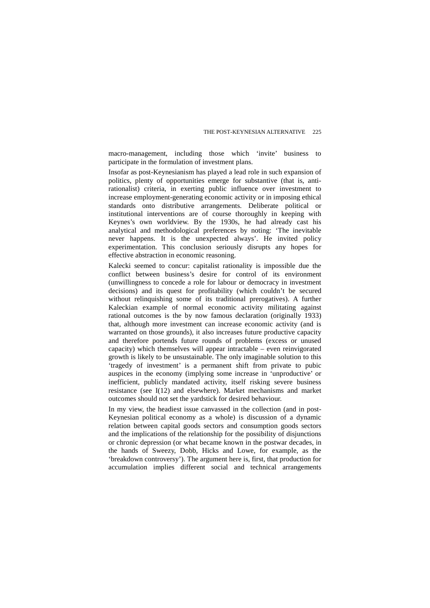macro-management, including those which 'invite' business to participate in the formulation of investment plans.

Insofar as post-Keynesianism has played a lead role in such expansion of politics, plenty of opportunities emerge for substantive (that is, antirationalist) criteria, in exerting public influence over investment to increase employment-generating economic activity or in imposing ethical standards onto distributive arrangements. Deliberate political or institutional interventions are of course thoroughly in keeping with Keynes's own worldview. By the 1930s, he had already cast his analytical and methodological preferences by noting: 'The inevitable never happens. It is the unexpected always'. He invited policy experimentation. This conclusion seriously disrupts any hopes for effective abstraction in economic reasoning.

Kalecki seemed to concur: capitalist rationality is impossible due the conflict between business's desire for control of its environment (unwillingness to concede a role for labour or democracy in investment decisions) and its quest for profitability (which couldn't be secured without relinquishing some of its traditional prerogatives). A further Kaleckian example of normal economic activity militating against rational outcomes is the by now famous declaration (originally 1933) that, although more investment can increase economic activity (and is warranted on those grounds), it also increases future productive capacity and therefore portends future rounds of problems (excess or unused capacity) which themselves will appear intractable – even reinvigorated growth is likely to be unsustainable. The only imaginable solution to this 'tragedy of investment' is a permanent shift from private to pubic auspices in the economy (implying some increase in 'unproductive' or inefficient, publicly mandated activity, itself risking severe business resistance (see I(12) and elsewhere). Market mechanisms and market outcomes should not set the yardstick for desired behaviour.

In my view, the headiest issue canvassed in the collection (and in post-Keynesian political economy as a whole) is discussion of a dynamic relation between capital goods sectors and consumption goods sectors and the implications of the relationship for the possibility of disjunctions or chronic depression (or what became known in the postwar decades, in the hands of Sweezy, Dobb, Hicks and Lowe, for example, as the 'breakdown controversy'). The argument here is, first, that production for accumulation implies different social and technical arrangements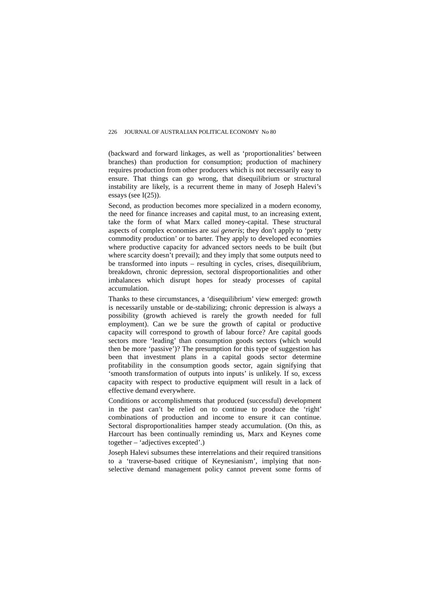(backward and forward linkages, as well as 'proportionalities' between branches) than production for consumption; production of machinery requires production from other producers which is not necessarily easy to ensure. That things can go wrong, that disequilibrium or structural instability are likely, is a recurrent theme in many of Joseph Halevi's essays (see I(25)).

Second, as production becomes more specialized in a modern economy, the need for finance increases and capital must, to an increasing extent, take the form of what Marx called money-capital. These structural aspects of complex economies are *sui generis*; they don't apply to 'petty commodity production' or to barter. They apply to developed economies where productive capacity for advanced sectors needs to be built (but where scarcity doesn't prevail); and they imply that some outputs need to be transformed into inputs – resulting in cycles, crises, disequilibrium, breakdown, chronic depression, sectoral disproportionalities and other imbalances which disrupt hopes for steady processes of capital accumulation.

Thanks to these circumstances, a 'disequilibrium' view emerged: growth is necessarily unstable or de-stabilizing; chronic depression is always a possibility (growth achieved is rarely the growth needed for full employment). Can we be sure the growth of capital or productive capacity will correspond to growth of labour force? Are capital goods sectors more 'leading' than consumption goods sectors (which would then be more 'passive')? The presumption for this type of suggestion has been that investment plans in a capital goods sector determine profitability in the consumption goods sector, again signifying that 'smooth transformation of outputs into inputs' is unlikely. If so, excess capacity with respect to productive equipment will result in a lack of effective demand everywhere.

Conditions or accomplishments that produced (successful) development in the past can't be relied on to continue to produce the 'right' combinations of production and income to ensure it can continue. Sectoral disproportionalities hamper steady accumulation. (On this, as Harcourt has been continually reminding us, Marx and Keynes come together – 'adjectives excepted'.)

Joseph Halevi subsumes these interrelations and their required transitions to a 'traverse-based critique of Keynesianism', implying that nonselective demand management policy cannot prevent some forms of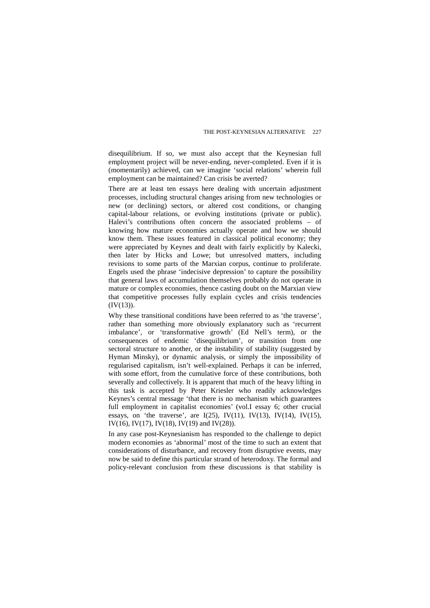disequilibrium. If so, we must also accept that the Keynesian full employment project will be never-ending, never-completed. Even if it is (momentarily) achieved, can we imagine 'social relations' wherein full employment can be maintained? Can crisis be averted?

There are at least ten essays here dealing with uncertain adjustment processes, including structural changes arising from new technologies or new (or declining) sectors, or altered cost conditions, or changing capital-labour relations, or evolving institutions (private or public). Halevi's contributions often concern the associated problems – of knowing how mature economies actually operate and how we should know them. These issues featured in classical political economy; they were appreciated by Keynes and dealt with fairly explicitly by Kalecki, then later by Hicks and Lowe; but unresolved matters, including revisions to some parts of the Marxian corpus, continue to proliferate. Engels used the phrase 'indecisive depression' to capture the possibility that general laws of accumulation themselves probably do not operate in mature or complex economies, thence casting doubt on the Marxian view that competitive processes fully explain cycles and crisis tendencies (IV(13)).

Why these transitional conditions have been referred to as 'the traverse', rather than something more obviously explanatory such as 'recurrent imbalance', or 'transformative growth' (Ed Nell's term), or the consequences of endemic 'disequilibrium', or transition from one sectoral structure to another, or the instability of stability (suggested by Hyman Minsky), or dynamic analysis, or simply the impossibility of regularised capitalism, isn't well-explained. Perhaps it can be inferred, with some effort, from the cumulative force of these contributions, both severally and collectively. It is apparent that much of the heavy lifting in this task is accepted by Peter Kriesler who readily acknowledges Keynes's central message 'that there is no mechanism which guarantees full employment in capitalist economies' (vol.I essay 6; other crucial essays, on 'the traverse', are  $I(25)$ ,  $IV(11)$ ,  $IV(13)$ ,  $IV(14)$ ,  $IV(15)$ , IV(16), IV(17), IV(18), IV(19) and IV(28)).

In any case post-Keynesianism has responded to the challenge to depict modern economies as 'abnormal' most of the time to such an extent that considerations of disturbance, and recovery from disruptive events, may now be said to define this particular strand of heterodoxy. The formal and policy-relevant conclusion from these discussions is that stability is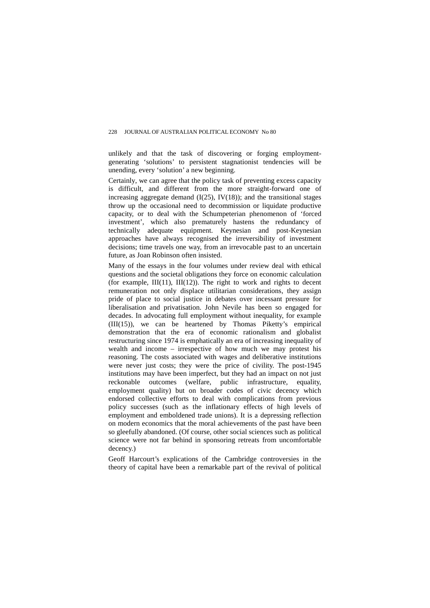unlikely and that the task of discovering or forging employmentgenerating 'solutions' to persistent stagnationist tendencies will be unending, every 'solution' a new beginning.

Certainly, we can agree that the policy task of preventing excess capacity is difficult, and different from the more straight-forward one of increasing aggregate demand  $(I(25), IV(18))$ ; and the transitional stages throw up the occasional need to decommission or liquidate productive capacity, or to deal with the Schumpeterian phenomenon of 'forced investment', which also prematurely hastens the redundancy of technically adequate equipment. Keynesian and post-Keynesian approaches have always recognised the irreversibility of investment decisions; time travels one way, from an irrevocable past to an uncertain future, as Joan Robinson often insisted.

Many of the essays in the four volumes under review deal with ethical questions and the societal obligations they force on economic calculation (for example,  $III(11)$ ,  $III(12)$ ). The right to work and rights to decent remuneration not only displace utilitarian considerations, they assign pride of place to social justice in debates over incessant pressure for liberalisation and privatisation. John Nevile has been so engaged for decades. In advocating full employment without inequality, for example (III(15)), we can be heartened by Thomas Piketty's empirical demonstration that the era of economic rationalism and globalist restructuring since 1974 is emphatically an era of increasing inequality of wealth and income – irrespective of how much we may protest his reasoning. The costs associated with wages and deliberative institutions were never just costs; they were the price of civility. The post-1945 institutions may have been imperfect, but they had an impact on not just reckonable outcomes (welfare, public infrastructure, equality, employment quality) but on broader codes of civic decency which endorsed collective efforts to deal with complications from previous policy successes (such as the inflationary effects of high levels of employment and emboldened trade unions). It is a depressing reflection on modern economics that the moral achievements of the past have been so gleefully abandoned. (Of course, other social sciences such as political science were not far behind in sponsoring retreats from uncomfortable decency.)

Geoff Harcourt's explications of the Cambridge controversies in the theory of capital have been a remarkable part of the revival of political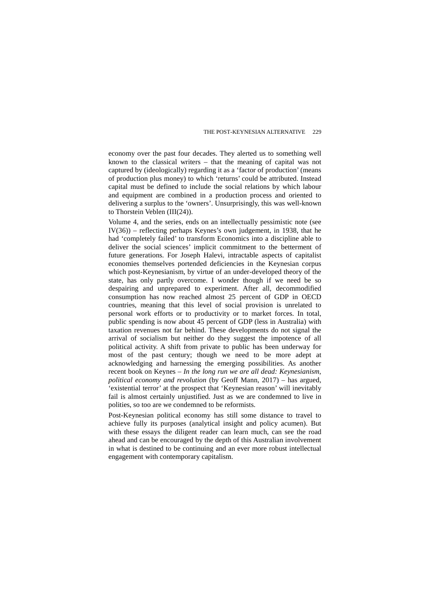economy over the past four decades. They alerted us to something well known to the classical writers – that the meaning of capital was not captured by (ideologically) regarding it as a 'factor of production' (means of production plus money) to which 'returns' could be attributed. Instead capital must be defined to include the social relations by which labour and equipment are combined in a production process and oriented to delivering a surplus to the 'owners'. Unsurprisingly, this was well-known to Thorstein Veblen (III(24)).

Volume 4, and the series, ends on an intellectually pessimistic note (see IV(36)) – reflecting perhaps Keynes's own judgement, in 1938, that he had 'completely failed' to transform Economics into a discipline able to deliver the social sciences' implicit commitment to the betterment of future generations. For Joseph Halevi, intractable aspects of capitalist economies themselves portended deficiencies in the Keynesian corpus which post-Keynesianism, by virtue of an under-developed theory of the state, has only partly overcome. I wonder though if we need be so despairing and unprepared to experiment. After all, decommodified consumption has now reached almost 25 percent of GDP in OECD countries, meaning that this level of social provision is unrelated to personal work efforts or to productivity or to market forces. In total, public spending is now about 45 percent of GDP (less in Australia) with taxation revenues not far behind. These developments do not signal the arrival of socialism but neither do they suggest the impotence of all political activity. A shift from private to public has been underway for most of the past century; though we need to be more adept at acknowledging and harnessing the emerging possibilities. As another recent book on Keynes – *In the long run we are all dead: Keynesianism, political economy and revolution* (by Geoff Mann, 2017) – has argued, 'existential terror' at the prospect that 'Keynesian reason' will inevitably fail is almost certainly unjustified. Just as we are condemned to live in polities, so too are we condemned to be reformists.

Post-Keynesian political economy has still some distance to travel to achieve fully its purposes (analytical insight and policy acumen). But with these essays the diligent reader can learn much, can see the road ahead and can be encouraged by the depth of this Australian involvement in what is destined to be continuing and an ever more robust intellectual engagement with contemporary capitalism.